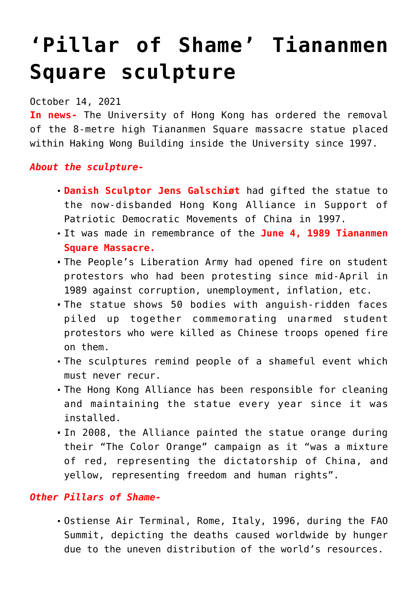## **['Pillar of Shame' Tiananmen](https://journalsofindia.com/pillar-of-shame-tiananmen-square-sculpture/) [Square sculpture](https://journalsofindia.com/pillar-of-shame-tiananmen-square-sculpture/)**

## October 14, 2021

**In news-** The University of Hong Kong has ordered the removal of the 8-metre high Tiananmen Square massacre statue placed within Haking Wong Building inside the University since 1997.

## *About the sculpture-*

- **Danish Sculptor Jens Galschiøt** had gifted the statue to the now-disbanded Hong Kong Alliance in Support of Patriotic Democratic Movements of China in 1997.
- It was made in remembrance of the **June 4, 1989 Tiananmen Square Massacre.**
- The People's Liberation Army had opened fire on student protestors who had been protesting since mid-April in 1989 against corruption, unemployment, inflation, etc.
- The statue shows 50 bodies with anguish-ridden faces piled up together commemorating unarmed student protestors who were killed as Chinese troops opened fire on them.
- The sculptures remind people of a shameful event which must never recur.
- The Hong Kong Alliance has been responsible for cleaning and maintaining the statue every year since it was installed.
- In 2008, the Alliance painted the statue orange during their "The Color Orange" campaign as it "was a mixture of red, representing the dictatorship of China, and yellow, representing freedom and human rights".

## *Other Pillars of Shame-*

Ostiense Air Terminal, Rome, Italy, 1996, during the FAO Summit, depicting the deaths caused worldwide by hunger due to the uneven distribution of the world's resources.